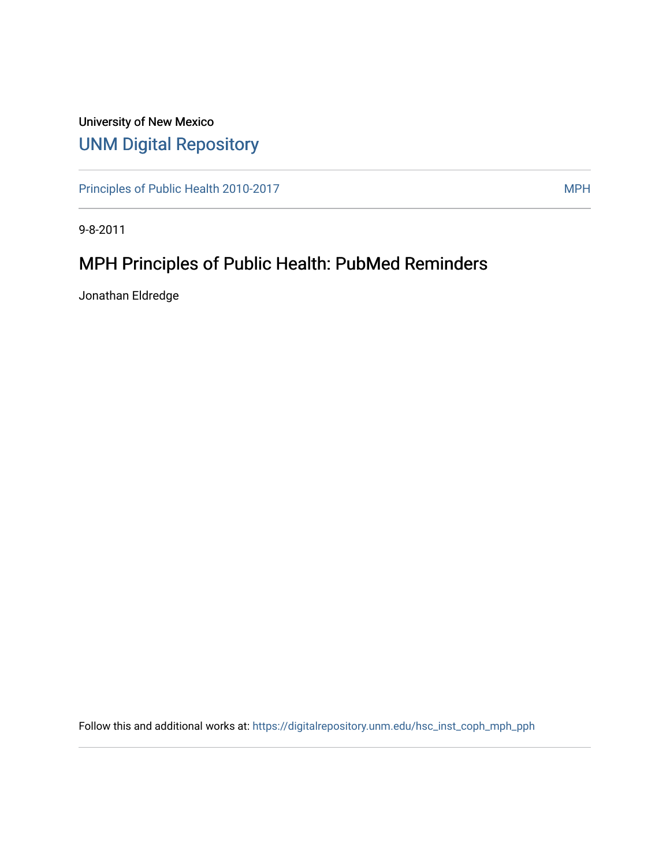## University of New Mexico [UNM Digital Repository](https://digitalrepository.unm.edu/)

[Principles of Public Health 2010-2017](https://digitalrepository.unm.edu/hsc_inst_coph_mph_pph) MPH

9-8-2011

# MPH Principles of Public Health: PubMed Reminders

Jonathan Eldredge

Follow this and additional works at: [https://digitalrepository.unm.edu/hsc\\_inst\\_coph\\_mph\\_pph](https://digitalrepository.unm.edu/hsc_inst_coph_mph_pph?utm_source=digitalrepository.unm.edu%2Fhsc_inst_coph_mph_pph%2F4&utm_medium=PDF&utm_campaign=PDFCoverPages)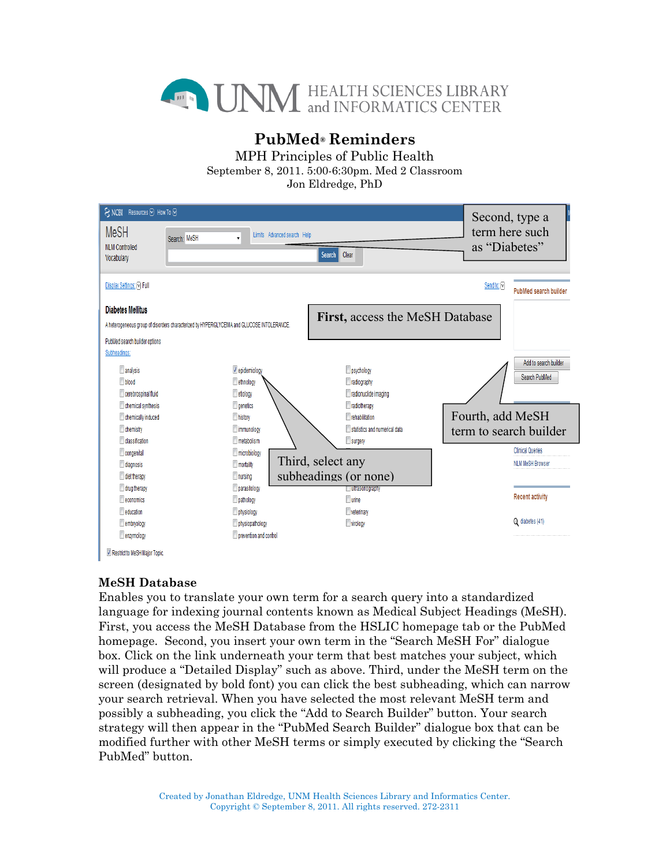

## **PubMed® Reminders**

MPH Principles of Public Health

September 8, 2011. 5:00-6:30pm. Med 2 Classroom

Jon Eldredge, PhD

| <b>MeSH</b><br>term here such<br>Limits Advanced search Help<br>Search: MeSH<br>$\mathbf{v}$<br>as "Diabetes"<br><b>NLM Controlled</b><br>Clear<br>Search<br>Vocabulary<br>Display Settings: (V) Full<br>Send to: <a><br/><b>PubMed search builder</b><br/><b>Diabetes Mellitus</b><br/>First, access the MeSH Database<br/>A heterogeneous group of disorders characterized by HYPERGLYCEMIA and GLUCOSE INTOLERANCE.<br/>PubMed search builder options<br/>Subheadings:<br/>Add to search builder<br/>analysis<br/>psychology<br/>v epidemiology<br/>Search PubMed<br/><b>Dood</b><br/>radiography<br/>ethnology<br/>cerebrospinal fluid<br/>radionuclide imaging<br/>etiology<br/>radiotherapy<br/>chemical synthesis<br/><b>Qenetics</b><br/>Fourth, add MeSH<br/><b>T</b>rehabilitation<br/>chemically induced<br/>history<br/>statistics and numerical data<br/>chemistry<br/>mmunology<br/>term to search builder<br/>dassification<br/><math>\Box</math> surgery<br/>metabolism<br/><b>Clinical Queries</b><br/>congenital<br/>microbiology<br/>Third, select any<br/><b>NLM MeSH Browser</b><br/>diagnosis<br/>mortality<br/>subheadings (or none)<br/>diet therapy<br/>nursing<br/>drug therapy<br/>parasitology<br/>ultrasonography<br/><b>Recent activity</b><br/>economics<br/><b>Turine</b><br/>pathology</a> | SNCBI Resources ⊙ How To ⊙ |  | Second, type a |
|-----------------------------------------------------------------------------------------------------------------------------------------------------------------------------------------------------------------------------------------------------------------------------------------------------------------------------------------------------------------------------------------------------------------------------------------------------------------------------------------------------------------------------------------------------------------------------------------------------------------------------------------------------------------------------------------------------------------------------------------------------------------------------------------------------------------------------------------------------------------------------------------------------------------------------------------------------------------------------------------------------------------------------------------------------------------------------------------------------------------------------------------------------------------------------------------------------------------------------------------------------------------------------------------------------------------------------|----------------------------|--|----------------|
|                                                                                                                                                                                                                                                                                                                                                                                                                                                                                                                                                                                                                                                                                                                                                                                                                                                                                                                                                                                                                                                                                                                                                                                                                                                                                                                             |                            |  |                |
|                                                                                                                                                                                                                                                                                                                                                                                                                                                                                                                                                                                                                                                                                                                                                                                                                                                                                                                                                                                                                                                                                                                                                                                                                                                                                                                             |                            |  |                |
|                                                                                                                                                                                                                                                                                                                                                                                                                                                                                                                                                                                                                                                                                                                                                                                                                                                                                                                                                                                                                                                                                                                                                                                                                                                                                                                             |                            |  |                |
|                                                                                                                                                                                                                                                                                                                                                                                                                                                                                                                                                                                                                                                                                                                                                                                                                                                                                                                                                                                                                                                                                                                                                                                                                                                                                                                             |                            |  |                |
|                                                                                                                                                                                                                                                                                                                                                                                                                                                                                                                                                                                                                                                                                                                                                                                                                                                                                                                                                                                                                                                                                                                                                                                                                                                                                                                             |                            |  |                |
|                                                                                                                                                                                                                                                                                                                                                                                                                                                                                                                                                                                                                                                                                                                                                                                                                                                                                                                                                                                                                                                                                                                                                                                                                                                                                                                             |                            |  |                |
| education<br>physiology<br>veterinary                                                                                                                                                                                                                                                                                                                                                                                                                                                                                                                                                                                                                                                                                                                                                                                                                                                                                                                                                                                                                                                                                                                                                                                                                                                                                       |                            |  |                |
| Q diabetes (41)<br>wirology<br>embryology<br>physiopathology<br>enzymology<br>prevention and control<br>Restrict to MeSH Major Topic.                                                                                                                                                                                                                                                                                                                                                                                                                                                                                                                                                                                                                                                                                                                                                                                                                                                                                                                                                                                                                                                                                                                                                                                       |                            |  |                |

### **MeSH Database**

Enables you to translate your own term for a search query into a standardized language for indexing journal contents known as Medical Subject Headings (MeSH). First, you access the MeSH Database from the HSLIC homepage tab or the PubMed homepage. Second, you insert your own term in the "Search MeSH For" dialogue box. Click on the link underneath your term that best matches your subject, which will produce a "Detailed Display" such as above. Third, under the MeSH term on the screen (designated by bold font) you can click the best subheading, which can narrow your search retrieval. When you have selected the most relevant MeSH term and possibly a subheading, you click the "Add to Search Builder" button. Your search strategy will then appear in the "PubMed Search Builder" dialogue box that can be modified further with other MeSH terms or simply executed by clicking the "Search PubMed" button.